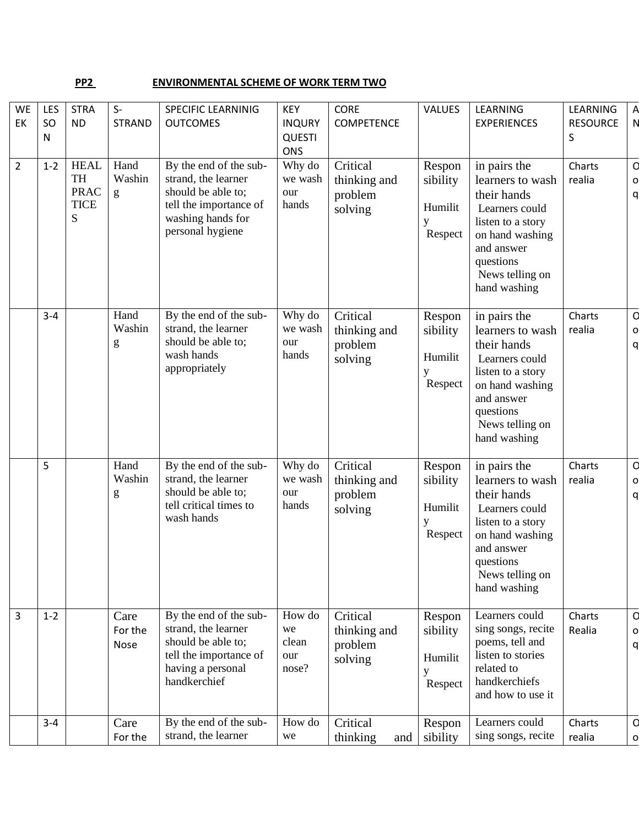## **PP2** ENVIRONMENTAL SCHEME OF WORK TERM TWO

| <b>WE</b><br>EK | LES<br>SO<br>N | <b>STRA</b><br><b>ND</b>                                    | $S-$<br><b>STRAND</b>       | <b>SPECIFIC LEARNINIG</b><br><b>OUTCOMES</b>                                                                                           | <b>KEY</b><br><b>INQURY</b><br><b>QUESTI</b><br><b>ONS</b> | <b>CORE</b><br><b>COMPETENCE</b>               | VALUES                                        | LEARNING<br><b>EXPERIENCES</b>                                                                                                                                          | LEARNING<br><b>RESOURCE</b><br>S | $\overline{A}$<br>N |
|-----------------|----------------|-------------------------------------------------------------|-----------------------------|----------------------------------------------------------------------------------------------------------------------------------------|------------------------------------------------------------|------------------------------------------------|-----------------------------------------------|-------------------------------------------------------------------------------------------------------------------------------------------------------------------------|----------------------------------|---------------------|
| $\overline{2}$  | $1 - 2$        | <b>HEAL</b><br><b>TH</b><br><b>PRAC</b><br><b>TICE</b><br>S | Hand<br>Washin<br>g         | By the end of the sub-<br>strand, the learner<br>should be able to;<br>tell the importance of<br>washing hands for<br>personal hygiene | Why do<br>we wash<br>our<br>hands                          | Critical<br>thinking and<br>problem<br>solving | Respon<br>sibility<br>Humilit<br>y<br>Respect | in pairs the<br>learners to wash<br>their hands<br>Learners could<br>listen to a story<br>on hand washing<br>and answer<br>questions<br>News telling on<br>hand washing | Charts<br>realia                 | d<br>$\circ$<br>q   |
|                 | $3 - 4$        |                                                             | Hand<br>Washin<br>${\bf g}$ | By the end of the sub-<br>strand, the learner<br>should be able to;<br>wash hands<br>appropriately                                     | Why do<br>we wash<br>our<br>hands                          | Critical<br>thinking and<br>problem<br>solving | Respon<br>sibility<br>Humilit<br>у<br>Respect | in pairs the<br>learners to wash<br>their hands<br>Learners could<br>listen to a story<br>on hand washing<br>and answer<br>questions<br>News telling on<br>hand washing | Charts<br>realia                 | q<br>$\circ$<br>q   |
|                 | 5              |                                                             | Hand<br>Washin<br>${\bf g}$ | By the end of the sub-<br>strand, the learner<br>should be able to;<br>tell critical times to<br>wash hands                            | Why do<br>we wash<br>our<br>hands                          | Critical<br>thinking and<br>problem<br>solving | Respon<br>sibility<br>Humilit<br>y<br>Respect | in pairs the<br>learners to wash<br>their hands<br>Learners could<br>listen to a story<br>on hand washing<br>and answer<br>questions<br>News telling on<br>hand washing | Charts<br>realia                 | q<br>$\circ$<br>q   |
| 3               | $1 - 2$        |                                                             | Care<br>For the<br>Nose     | By the end of the sub-<br>strand, the learner<br>should be able to;<br>tell the importance of<br>having a personal<br>handkerchief     | How do<br>we<br>clean<br>our<br>nose?                      | Critical<br>thinking and<br>problem<br>solving | Respon<br>sibility<br>Humilit<br>y<br>Respect | Learners could<br>sing songs, recite<br>poems, tell and<br>listen to stories<br>related to<br>handkerchiefs<br>and how to use it                                        | Charts<br>Realia                 | d<br>$\circ$<br>q   |
|                 | $3 - 4$        |                                                             | Care<br>For the             | By the end of the sub-<br>strand, the learner                                                                                          | How do<br>we                                               | Critical<br>thinking<br>and                    | Respon<br>sibility                            | Learners could<br>sing songs, recite                                                                                                                                    | Charts<br>realia                 | q<br>$\Omega$       |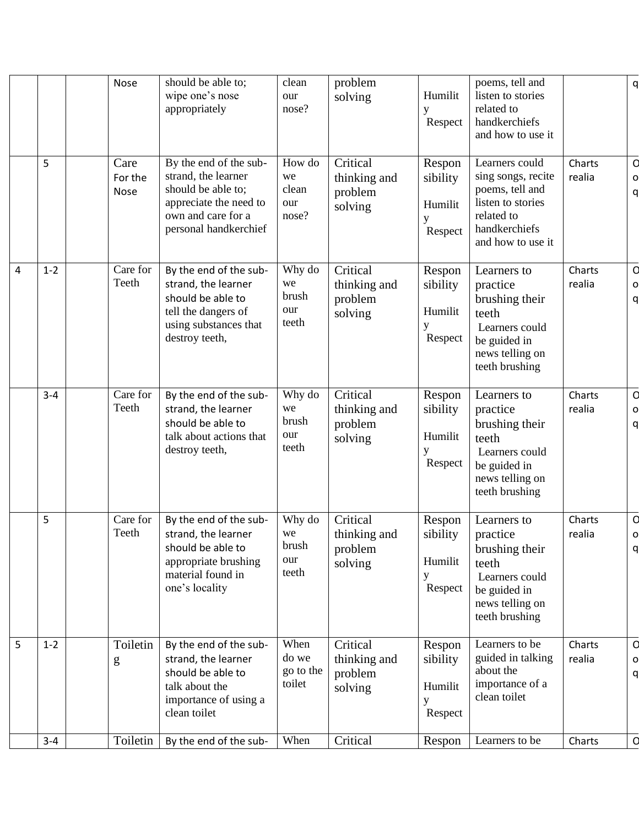|                |         | Nose                     | should be able to;<br>wipe one's nose<br>appropriately                                                                                       | clean<br>our<br>nose?                 | problem<br>solving                             | Humilit<br>у<br>Respect                       | poems, tell and<br>listen to stories<br>related to<br>handkerchiefs<br>and how to use it                                         |                  | q                     |
|----------------|---------|--------------------------|----------------------------------------------------------------------------------------------------------------------------------------------|---------------------------------------|------------------------------------------------|-----------------------------------------------|----------------------------------------------------------------------------------------------------------------------------------|------------------|-----------------------|
|                | 5       | Care<br>For the<br>Nose  | By the end of the sub-<br>strand, the learner<br>should be able to;<br>appreciate the need to<br>own and care for a<br>personal handkerchief | How do<br>we<br>clean<br>our<br>nose? | Critical<br>thinking and<br>problem<br>solving | Respon<br>sibility<br>Humilit<br>Respect      | Learners could<br>sing songs, recite<br>poems, tell and<br>listen to stories<br>related to<br>handkerchiefs<br>and how to use it | Charts<br>realia | d<br>$\circ$<br>q     |
| $\overline{4}$ | $1 - 2$ | Care for<br>Teeth        | By the end of the sub-<br>strand, the learner<br>should be able to<br>tell the dangers of<br>using substances that<br>destroy teeth,         | Why do<br>we<br>brush<br>our<br>teeth | Critical<br>thinking and<br>problem<br>solving | Respon<br>sibility<br>Humilit<br>y<br>Respect | Learners to<br>practice<br>brushing their<br>teeth<br>Learners could<br>be guided in<br>news telling on<br>teeth brushing        | Charts<br>realia | q<br>$\circ$<br>q     |
|                | $3 - 4$ | Care for<br>Teeth        | By the end of the sub-<br>strand, the learner<br>should be able to<br>talk about actions that<br>destroy teeth,                              | Why do<br>we<br>brush<br>our<br>teeth | Critical<br>thinking and<br>problem<br>solving | Respon<br>sibility<br>Humilit<br>у<br>Respect | Learners to<br>practice<br>brushing their<br>teeth<br>Learners could<br>be guided in<br>news telling on<br>teeth brushing        | Charts<br>realia | d<br>$\circ$<br>q     |
|                | 5       | Care for<br>Teeth        | By the end of the sub-<br>strand, the learner<br>should be able to<br>appropriate brushing<br>material found in<br>one's locality            | Why do<br>we<br>brush<br>our<br>teeth | Critical<br>thinking and<br>problem<br>solving | Respon<br>sibility<br>Humilit<br>у<br>Respect | Learners to<br>practice<br>brushing their<br>teeth<br>Learners could<br>be guided in<br>news telling on<br>teeth brushing        | Charts<br>realia | d<br>$\circ$<br>q     |
| 5              | $1 - 2$ | Toiletin<br>$\mathbf{g}$ | By the end of the sub-<br>strand, the learner<br>should be able to<br>talk about the<br>importance of using a<br>clean toilet                | When<br>do we<br>go to the<br>toilet  | Critical<br>thinking and<br>problem<br>solving | Respon<br>sibility<br>Humilit<br>у<br>Respect | Learners to be<br>guided in talking<br>about the<br>importance of a<br>clean toilet                                              | Charts<br>realia | d<br>$\mathbf 0$<br>q |
|                | $3-4$   | Toiletin                 | By the end of the sub-                                                                                                                       | When                                  | Critical                                       | Respon                                        | Learners to be                                                                                                                   | Charts           | d                     |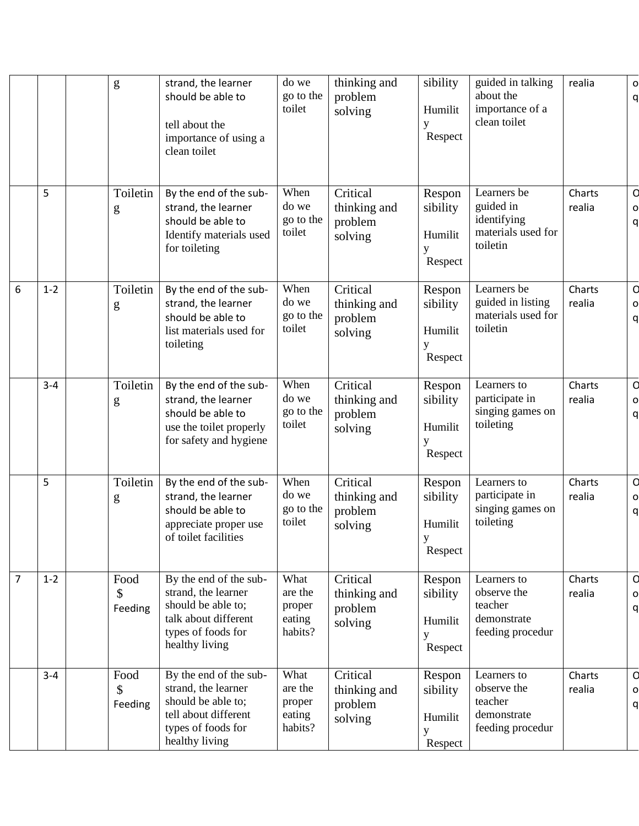|   |         | g                     | strand, the learner<br>should be able to<br>tell about the<br>importance of using a<br>clean toilet                                 | do we<br>go to the<br>toilet                   | thinking and<br>problem<br>solving             | sibility<br>Humilit<br>у<br>Respect           | guided in talking<br>about the<br>importance of a<br>clean toilet         | realia           | $\circ$<br>q          |
|---|---------|-----------------------|-------------------------------------------------------------------------------------------------------------------------------------|------------------------------------------------|------------------------------------------------|-----------------------------------------------|---------------------------------------------------------------------------|------------------|-----------------------|
|   | 5       | Toiletin<br>g         | By the end of the sub-<br>strand, the learner<br>should be able to<br>Identify materials used<br>for toileting                      | When<br>do we<br>go to the<br>toilet           | Critical<br>thinking and<br>problem<br>solving | Respon<br>sibility<br>Humilit<br>у<br>Respect | Learners be<br>guided in<br>identifying<br>materials used for<br>toiletin | Charts<br>realia | d<br>$\circ$<br>q     |
| 6 | $1 - 2$ | Toiletin<br>g         | By the end of the sub-<br>strand, the learner<br>should be able to<br>list materials used for<br>toileting                          | When<br>do we<br>go to the<br>toilet           | Critical<br>thinking and<br>problem<br>solving | Respon<br>sibility<br>Humilit<br>y<br>Respect | Learners be<br>guided in listing<br>materials used for<br>toiletin        | Charts<br>realia | d<br>$\circ$<br>q     |
|   | $3 - 4$ | Toiletin<br>g         | By the end of the sub-<br>strand, the learner<br>should be able to<br>use the toilet properly<br>for safety and hygiene             | When<br>do we<br>go to the<br>toilet           | Critical<br>thinking and<br>problem<br>solving | Respon<br>sibility<br>Humilit<br>Respect      | Learners to<br>participate in<br>singing games on<br>toileting            | Charts<br>realia | d<br>$\circ$<br>q     |
|   | 5       | Toiletin<br>g         | By the end of the sub-<br>strand, the learner<br>should be able to<br>appreciate proper use<br>of toilet facilities                 | When<br>do we<br>go to the<br>toilet           | Critical<br>thinking and<br>problem<br>solving | Respon<br>sibility<br>Humilit<br>V<br>Respect | Learners to<br>participate in<br>singing games on<br>toileting            | Charts<br>realia | q<br>$\circ$<br>q     |
| 7 | $1 - 2$ | Food<br>\$<br>Feeding | By the end of the sub-<br>strand, the learner<br>should be able to;<br>talk about different<br>types of foods for<br>healthy living | What<br>are the<br>proper<br>eating<br>habits? | Critical<br>thinking and<br>problem<br>solving | Respon<br>sibility<br>Humilit<br>Respect      | Learners to<br>observe the<br>teacher<br>demonstrate<br>feeding procedur  | Charts<br>realia | d<br>$\circ$<br>q     |
|   | $3 - 4$ | Food<br>\$<br>Feeding | By the end of the sub-<br>strand, the learner<br>should be able to;<br>tell about different<br>types of foods for<br>healthy living | What<br>are the<br>proper<br>eating<br>habits? | Critical<br>thinking and<br>problem<br>solving | Respon<br>sibility<br>Humilit<br>у<br>Respect | Learners to<br>observe the<br>teacher<br>demonstrate<br>feeding procedur  | Charts<br>realia | d<br>$\mathbf 0$<br>q |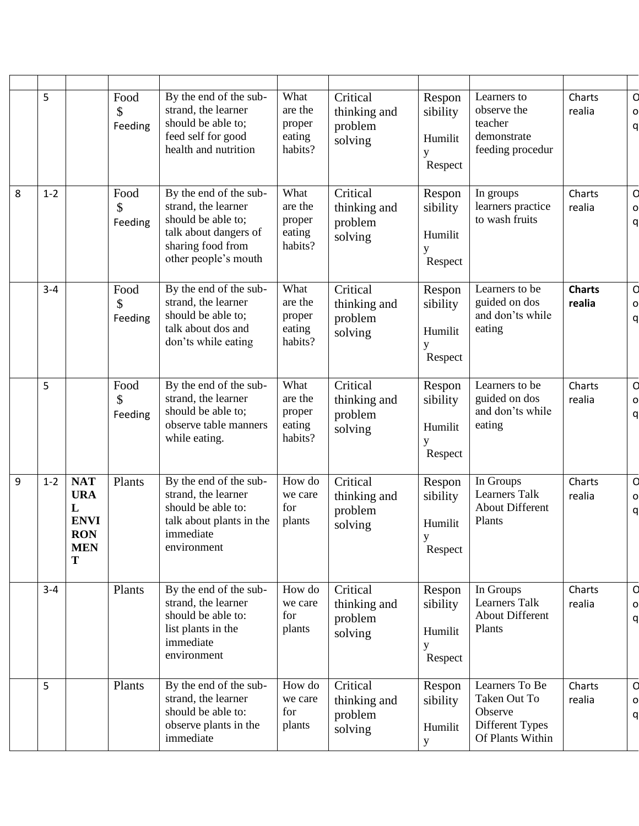|   | 5       |                                                                               | Food<br>\$<br>Feeding | By the end of the sub-<br>strand, the learner<br>should be able to;<br>feed self for good<br>health and nutrition                         | What<br>are the<br>proper<br>eating<br>habits? | Critical<br>thinking and<br>problem<br>solving | Respon<br>sibility<br>Humilit<br>y<br>Respect | Learners to<br>observe the<br>teacher<br>demonstrate<br>feeding procedur         | Charts<br>realia        | q<br>$\circ$<br>q |
|---|---------|-------------------------------------------------------------------------------|-----------------------|-------------------------------------------------------------------------------------------------------------------------------------------|------------------------------------------------|------------------------------------------------|-----------------------------------------------|----------------------------------------------------------------------------------|-------------------------|-------------------|
| 8 | $1 - 2$ |                                                                               | Food<br>\$<br>Feeding | By the end of the sub-<br>strand, the learner<br>should be able to;<br>talk about dangers of<br>sharing food from<br>other people's mouth | What<br>are the<br>proper<br>eating<br>habits? | Critical<br>thinking and<br>problem<br>solving | Respon<br>sibility<br>Humilit<br>у<br>Respect | In groups<br>learners practice<br>to wash fruits                                 | Charts<br>realia        | d<br>$\circ$<br>q |
|   | $3 - 4$ |                                                                               | Food<br>\$<br>Feeding | By the end of the sub-<br>strand, the learner<br>should be able to;<br>talk about dos and<br>don'ts while eating                          | What<br>are the<br>proper<br>eating<br>habits? | Critical<br>thinking and<br>problem<br>solving | Respon<br>sibility<br>Humilit<br>у<br>Respect | Learners to be<br>guided on dos<br>and don'ts while<br>eating                    | <b>Charts</b><br>realia | d<br>$\circ$<br>q |
|   | 5       |                                                                               | Food<br>\$<br>Feeding | By the end of the sub-<br>strand, the learner<br>should be able to;<br>observe table manners<br>while eating.                             | What<br>are the<br>proper<br>eating<br>habits? | Critical<br>thinking and<br>problem<br>solving | Respon<br>sibility<br>Humilit<br>Respect      | Learners to be<br>guided on dos<br>and don'ts while<br>eating                    | Charts<br>realia        | d<br>$\circ$<br>q |
| 9 | $1 - 2$ | <b>NAT</b><br><b>URA</b><br>L<br><b>ENVI</b><br><b>RON</b><br><b>MEN</b><br>T | Plants                | By the end of the sub-<br>strand, the learner<br>should be able to:<br>talk about plants in the<br>immediate<br>environment               | How do<br>we care<br>for<br>plants             | Critical<br>thinking and<br>problem<br>solving | Respon<br>sibility<br>Humilit<br>y<br>Respect | In Groups<br><b>Learners Talk</b><br><b>About Different</b><br>Plants            | Charts<br>realia        | q<br>$\circ$<br>q |
|   | $3 - 4$ |                                                                               | Plants                | By the end of the sub-<br>strand, the learner<br>should be able to:<br>list plants in the<br>immediate<br>environment                     | How do<br>we care<br>for<br>plants             | Critical<br>thinking and<br>problem<br>solving | Respon<br>sibility<br>Humilit<br>y<br>Respect | In Groups<br>Learners Talk<br><b>About Different</b><br>Plants                   | Charts<br>realia        | d<br>$\circ$<br>q |
|   | 5       |                                                                               | Plants                | By the end of the sub-<br>strand, the learner<br>should be able to:<br>observe plants in the<br>immediate                                 | How do<br>we care<br>for<br>plants             | Critical<br>thinking and<br>problem<br>solving | Respon<br>sibility<br>Humilit<br>$\mathbf y$  | Learners To Be<br>Taken Out To<br>Observe<br>Different Types<br>Of Plants Within | Charts<br>realia        | d<br>$\circ$<br>a |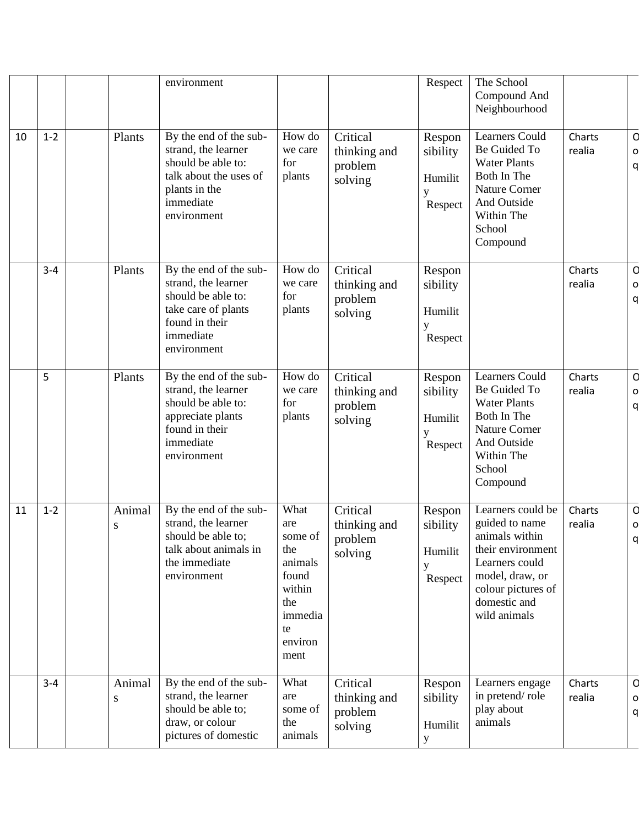|    |         |             | environment                                                                                                                                |                                                                                                        |                                                | Respect                                       | The School<br>Compound And<br>Neighbourhood                                                                                                                           |                  |                    |
|----|---------|-------------|--------------------------------------------------------------------------------------------------------------------------------------------|--------------------------------------------------------------------------------------------------------|------------------------------------------------|-----------------------------------------------|-----------------------------------------------------------------------------------------------------------------------------------------------------------------------|------------------|--------------------|
| 10 | $1 - 2$ | Plants      | By the end of the sub-<br>strand, the learner<br>should be able to:<br>talk about the uses of<br>plants in the<br>immediate<br>environment | How do<br>we care<br>for<br>plants                                                                     | Critical<br>thinking and<br>problem<br>solving | Respon<br>sibility<br>Humilit<br>Respect      | <b>Learners Could</b><br>Be Guided To<br><b>Water Plants</b><br>Both In The<br><b>Nature Corner</b><br>And Outside<br>Within The<br>School<br>Compound                | Charts<br>realia | d<br>$\circ$<br>q  |
|    | $3 - 4$ | Plants      | By the end of the sub-<br>strand, the learner<br>should be able to:<br>take care of plants<br>found in their<br>immediate<br>environment   | How do<br>we care<br>for<br>plants                                                                     | Critical<br>thinking and<br>problem<br>solving | Respon<br>sibility<br>Humilit<br>y<br>Respect |                                                                                                                                                                       | Charts<br>realia | d<br>$\circ$<br>q  |
|    | 5       | Plants      | By the end of the sub-<br>strand, the learner<br>should be able to:<br>appreciate plants<br>found in their<br>immediate<br>environment     | How do<br>we care<br>for<br>plants                                                                     | Critical<br>thinking and<br>problem<br>solving | Respon<br>sibility<br>Humilit<br>y<br>Respect | <b>Learners Could</b><br>Be Guided To<br><b>Water Plants</b><br>Both In The<br><b>Nature Corner</b><br>And Outside<br>Within The<br>School<br>Compound                | Charts<br>realia | d<br>$\circ$<br>q  |
| 11 | $1 - 2$ | Animal<br>S | By the end of the sub-<br>strand, the learner<br>should be able to;<br>talk about animals in<br>the immediate<br>environment               | What<br>are<br>some of<br>the<br>animals<br>found<br>within<br>the<br>immedia<br>te<br>environ<br>ment | Critical<br>thinking and<br>problem<br>solving | Respon<br>sibility<br>Humilit<br>y<br>Respect | Learners could be<br>guided to name<br>animals within<br>their environment<br>Learners could<br>model, draw, or<br>colour pictures of<br>domestic and<br>wild animals | Charts<br>realia | d<br>O<br>$\Omega$ |
|    | $3 - 4$ | Animal<br>S | By the end of the sub-<br>strand, the learner<br>should be able to;<br>draw, or colour<br>pictures of domestic                             | What<br>are<br>some of<br>the<br>animals                                                               | Critical<br>thinking and<br>problem<br>solving | Respon<br>sibility<br>Humilit<br>$\mathbf{y}$ | Learners engage<br>in pretend/role<br>play about<br>animals                                                                                                           | Charts<br>realia | q<br>o<br>q        |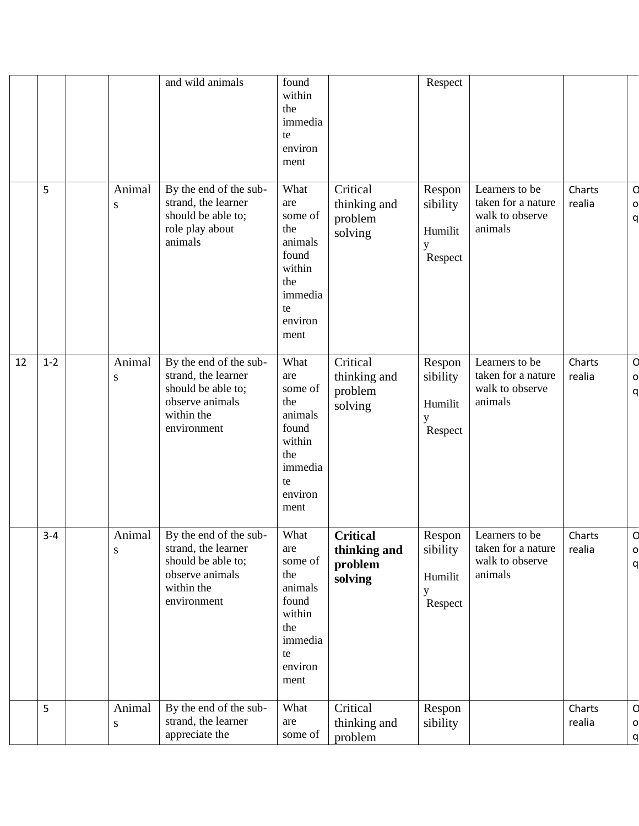|    |         |                     | and wild animals                                                                                                    | found<br>within<br>the<br>immedia<br>te<br>environ<br>ment                                             |                                                       | Respect                                       |                                                                    |                  |                   |
|----|---------|---------------------|---------------------------------------------------------------------------------------------------------------------|--------------------------------------------------------------------------------------------------------|-------------------------------------------------------|-----------------------------------------------|--------------------------------------------------------------------|------------------|-------------------|
|    | 5       | Animal<br>${\bf S}$ | By the end of the sub-<br>strand, the learner<br>should be able to;<br>role play about<br>animals                   | What<br>are<br>some of<br>the<br>animals<br>found<br>within<br>the<br>immedia<br>te<br>environ<br>ment | Critical<br>thinking and<br>problem<br>solving        | Respon<br>sibility<br>Humilit<br>у<br>Respect | Learners to be<br>taken for a nature<br>walk to observe<br>animals | Charts<br>realia | d<br>$\circ$<br>q |
| 12 | $1 - 2$ | Animal<br>S         | By the end of the sub-<br>strand, the learner<br>should be able to;<br>observe animals<br>within the<br>environment | What<br>are<br>some of<br>the<br>animals<br>found<br>within<br>the<br>immedia<br>te<br>environ<br>ment | Critical<br>thinking and<br>problem<br>solving        | Respon<br>sibility<br>Humilit<br>у<br>Respect | Learners to be<br>taken for a nature<br>walk to observe<br>animals | Charts<br>realia | q<br>$\circ$<br>q |
|    | $3 - 4$ | Animal<br>${\bf S}$ | By the end of the sub-<br>strand, the learner<br>should be able to;<br>observe animals<br>within the<br>environment | What<br>are<br>some of<br>the<br>animals<br>found<br>within<br>the<br>immedia<br>te<br>environ<br>ment | <b>Critical</b><br>thinking and<br>problem<br>solving | Respon<br>sibility<br>Humilit<br>y<br>Respect | Learners to be<br>taken for a nature<br>walk to observe<br>animals | Charts<br>realia | d<br>$\circ$<br>q |
|    | 5       | Animal<br>${\bf S}$ | By the end of the sub-<br>strand, the learner<br>appreciate the                                                     | What<br>are<br>some of                                                                                 | Critical<br>thinking and<br>problem                   | Respon<br>sibility                            |                                                                    | Charts<br>realia | d<br>$\circ$<br>q |